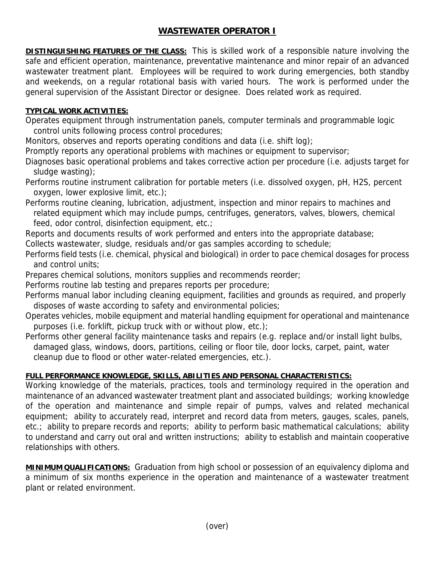## **WASTEWATER OPERATOR I**

**DISTINGUISHING FEATURES OF THE CLASS:** This is skilled work of a responsible nature involving the safe and efficient operation, maintenance, preventative maintenance and minor repair of an advanced wastewater treatment plant. Employees will be required to work during emergencies, both standby and weekends, on a regular rotational basis with varied hours. The work is performed under the general supervision of the Assistant Director or designee. Does related work as required.

## **TYPICAL WORK ACTIVITIES:**

Operates equipment through instrumentation panels, computer terminals and programmable logic control units following process control procedures;

Monitors, observes and reports operating conditions and data (i.e. shift log);

Promptly reports any operational problems with machines or equipment to supervisor;

Diagnoses basic operational problems and takes corrective action per procedure (i.e. adjusts target for sludge wasting);

Performs routine instrument calibration for portable meters (i.e. dissolved oxygen, pH, H2S, percent oxygen, lower explosive limit, etc.);

Performs routine cleaning, lubrication, adjustment, inspection and minor repairs to machines and related equipment which may include pumps, centrifuges, generators, valves, blowers, chemical feed, odor control, disinfection equipment, etc.;

Reports and documents results of work performed and enters into the appropriate database;

Collects wastewater, sludge, residuals and/or gas samples according to schedule;

Performs field tests (i.e. chemical, physical and biological) in order to pace chemical dosages for process and control units;

Prepares chemical solutions, monitors supplies and recommends reorder;

Performs routine lab testing and prepares reports per procedure;

Performs manual labor including cleaning equipment, facilities and grounds as required, and properly disposes of waste according to safety and environmental policies;

- Operates vehicles, mobile equipment and material handling equipment for operational and maintenance purposes (i.e. forklift, pickup truck with or without plow, etc.);
- Performs other general facility maintenance tasks and repairs (e.g. replace and/or install light bulbs, damaged glass, windows, doors, partitions, ceiling or floor tile, door locks, carpet, paint, water cleanup due to flood or other water-related emergencies, etc.).

## **FULL PERFORMANCE KNOWLEDGE, SKILLS, ABILITIES AND PERSONAL CHARACTERISTICS:**

Working knowledge of the materials, practices, tools and terminology required in the operation and maintenance of an advanced wastewater treatment plant and associated buildings; working knowledge of the operation and maintenance and simple repair of pumps, valves and related mechanical equipment; ability to accurately read, interpret and record data from meters, gauges, scales, panels, etc.; ability to prepare records and reports; ability to perform basic mathematical calculations; ability to understand and carry out oral and written instructions; ability to establish and maintain cooperative relationships with others.

**MINIMUM QUALIFICATIONS:** Graduation from high school or possession of an equivalency diploma and a minimum of six months experience in the operation and maintenance of a wastewater treatment plant or related environment.